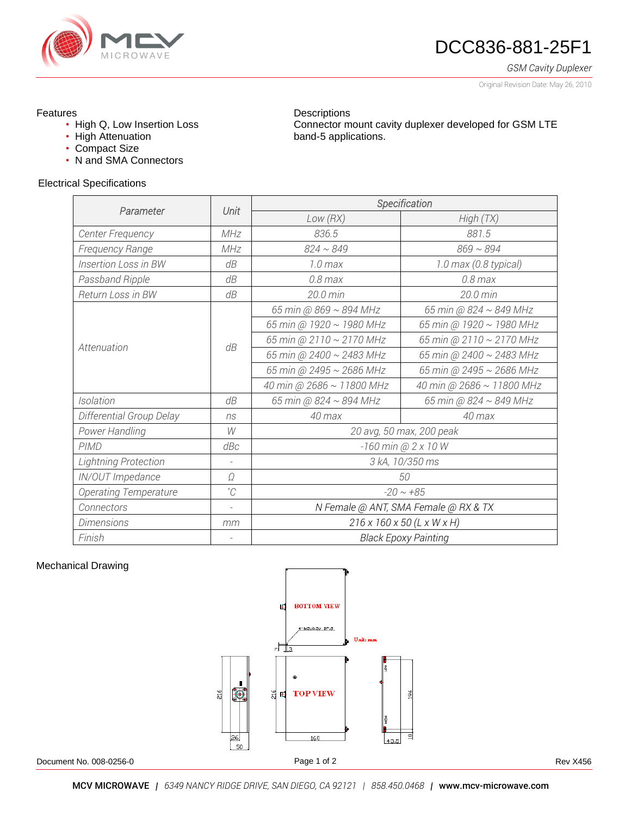

# DCC836-881-25F1

Connector mount cavity duplexer developed for GSM LTE

*GSM Cavity Duplexer*

Original Revision Date: May 26, 2010

### Features

- High Q, Low Insertion Loss
- High Attenuation
- Compact Size
- N and SMA Connectors

#### Electrical Specifications

| Parameter                    | Unit        | Specification                        |                           |
|------------------------------|-------------|--------------------------------------|---------------------------|
|                              |             | Low (RX)                             | High(TX)                  |
| Center Frequency             | MHz         | 836.5                                | 881.5                     |
| Frequency Range              | MHz         | $824 \sim 849$                       | $869 \sim 894$            |
| <b>Insertion Loss in BW</b>  | dB          | $1.0$ max                            | 1.0 max (0.8 typical)     |
| Passband Ripple              | dB          | $0.8$ max                            | $0.8$ max                 |
| Return Loss in BW            | dB          | 20.0 min                             | 20.0 min                  |
| Attenuation                  | dB          | 65 min @ 869 ~ 894 MHz               | 65 min @ 824 ~ 849 MHz    |
|                              |             | 65 min @ 1920 ~ 1980 MHz             | 65 min @ 1920 ~ 1980 MHz  |
|                              |             | 65 min @ 2110 ~ 2170 MHz             | 65 min @ 2110 ~ 2170 MHz  |
|                              |             | 65 min @ 2400 ~ 2483 MHz             | 65 min @ 2400 ~ 2483 MHz  |
|                              |             | 65 min @ 2495 ~ 2686 MHz             | 65 min @ 2495 ~ 2686 MHz  |
|                              |             | 40 min @ 2686 ~ 11800 MHz            | 40 min @ 2686 ~ 11800 MHz |
| Isolation                    | dB          | 65 min @ 824 ~ 894 MHz               | 65 min @ 824 ~ 849 MHz    |
| Differential Group Delay     | ns          | 40 max                               | 40 max                    |
| Power Handling               | W           | 20 avg, 50 max, 200 peak             |                           |
| <b>PIMD</b>                  | dBc         | -160 min @ 2 x 10 W                  |                           |
| Lightning Protection         |             | 3 kA, 10/350 ms                      |                           |
| IN/OUT Impedance             | Ω           | 50                                   |                           |
| <b>Operating Temperature</b> | $^{\circ}C$ | $-20 \sim +85$                       |                           |
| Connectors                   |             | N Female @ ANT, SMA Female @ RX & TX |                           |
| <b>Dimensions</b>            | mm          | 216 x 160 x 50 (L x W x H)           |                           |
| Finish                       |             | <b>Black Epoxy Painting</b>          |                           |

**Descriptions** 

band-5 applications.

### Mechanical Drawing